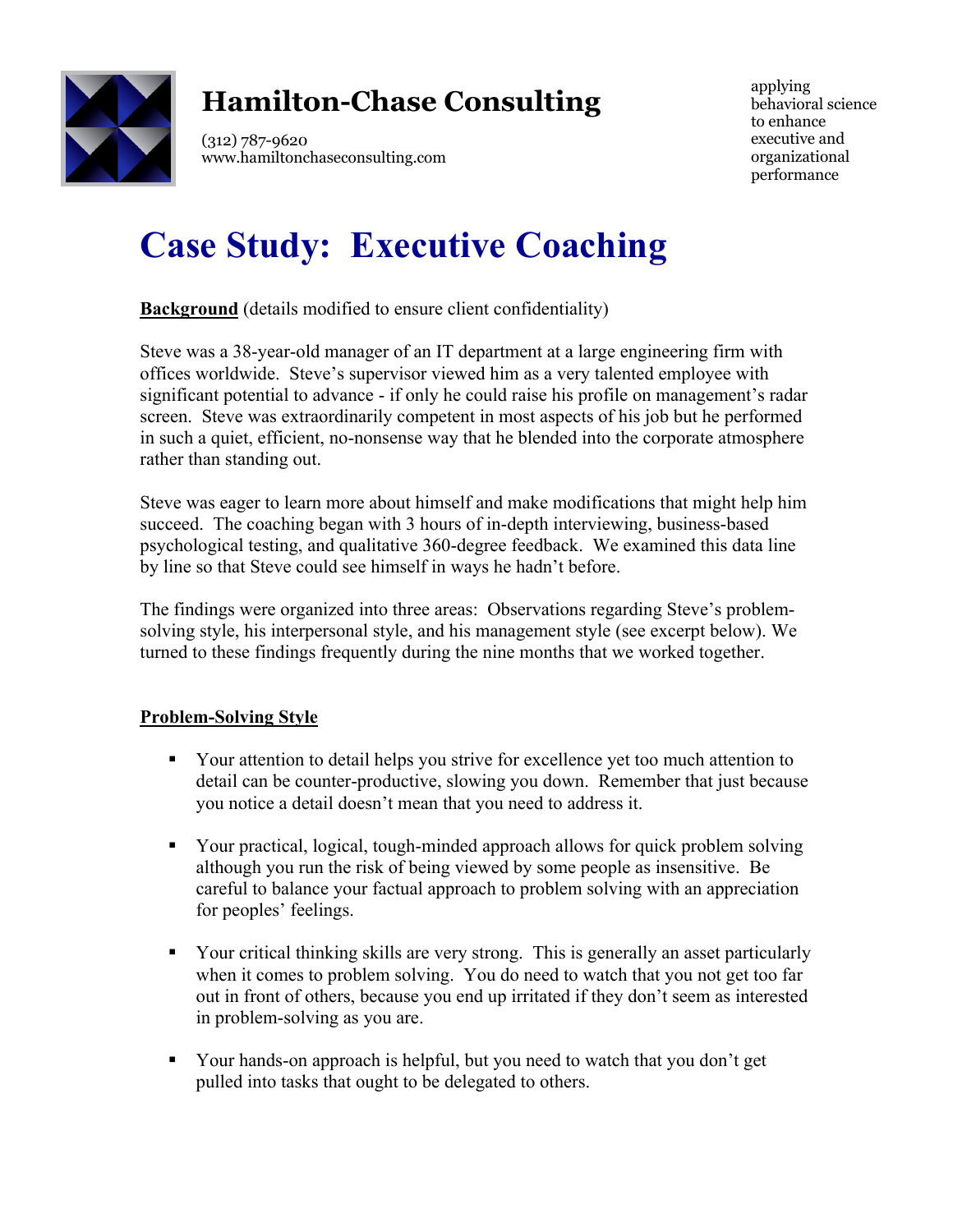

# **Hamilton-Chase Consulting**

(312) 787-9620 www.hamiltonchaseconsulting.com applying behavioral science to enhance executive and organizational performance

# **Case Study: Executive Coaching**

**Background** (details modified to ensure client confidentiality)

Steve was a 38-year-old manager of an IT department at a large engineering firm with offices worldwide. Steve's supervisor viewed him as a very talented employee with significant potential to advance - if only he could raise his profile on management's radar screen. Steve was extraordinarily competent in most aspects of his job but he performed in such a quiet, efficient, no-nonsense way that he blended into the corporate atmosphere rather than standing out.

Steve was eager to learn more about himself and make modifications that might help him succeed. The coaching began with 3 hours of in-depth interviewing, business-based psychological testing, and qualitative 360-degree feedback. We examined this data line by line so that Steve could see himself in ways he hadn't before.

The findings were organized into three areas: Observations regarding Steve's problemsolving style, his interpersonal style, and his management style (see excerpt below). We turned to these findings frequently during the nine months that we worked together.

# **Problem-Solving Style**

- Your attention to detail helps you strive for excellence yet too much attention to detail can be counter-productive, slowing you down. Remember that just because you notice a detail doesn't mean that you need to address it.
- § Your practical, logical, tough-minded approach allows for quick problem solving although you run the risk of being viewed by some people as insensitive. Be careful to balance your factual approach to problem solving with an appreciation for peoples' feelings.
- Your critical thinking skills are very strong. This is generally an asset particularly when it comes to problem solving. You do need to watch that you not get too far out in front of others, because you end up irritated if they don't seem as interested in problem-solving as you are.
- Your hands-on approach is helpful, but you need to watch that you don't get pulled into tasks that ought to be delegated to others.